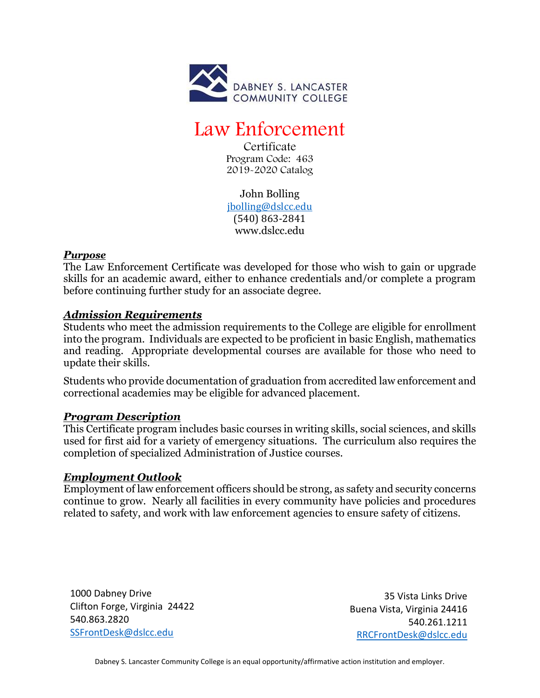

# Law Enforcement

**Certificate** Program Code: 463 2019-2020 Catalog

John Bolling [jbolling@dslcc.edu](mailto:jbolling@dslcc.edu) (540) 863-2841 www.dslcc.edu

#### *Purpose*

The Law Enforcement Certificate was developed for those who wish to gain or upgrade skills for an academic award, either to enhance credentials and/or complete a program before continuing further study for an associate degree.

## *Admission Requirements*

Students who meet the admission requirements to the College are eligible for enrollment into the program. Individuals are expected to be proficient in basic English, mathematics and reading. Appropriate developmental courses are available for those who need to update their skills.

Students who provide documentation of graduation from accredited law enforcement and correctional academies may be eligible for advanced placement.

## *Program Description*

This Certificate program includes basic courses in writing skills, social sciences, and skills used for first aid for a variety of emergency situations. The curriculum also requires the completion of specialized Administration of Justice courses.

## *Employment Outlook*

Employment of law enforcement officers should be strong, as safety and security concerns continue to grow. Nearly all facilities in every community have policies and procedures related to safety, and work with law enforcement agencies to ensure safety of citizens.

1000 Dabney Drive Clifton Forge, Virginia 24422 540.863.2820 [SSFrontDesk@dslcc.edu](mailto:SSFrontDesk@dslcc.edu)

35 Vista Links Drive Buena Vista, Virginia 24416 540.261.1211 [RRCFrontDesk@dslcc.edu](mailto:RRCFrontDesk@dslcc.edu)

Dabney S. Lancaster Community College is an equal opportunity/affirmative action institution and employer.